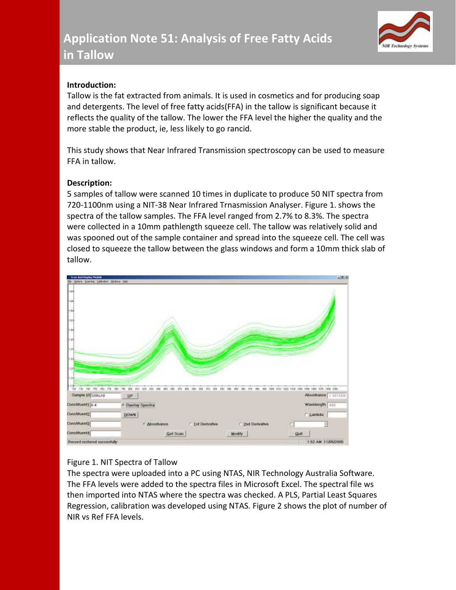

# **Introduction:**

Tallow is the fat extracted from animals. It is used in cosmetics and for producing soap and detergents. The level of free fatty acids(FFA) in the tallow is significant because it reflects the quality of the tallow. The lower the FFA level the higher the quality and the more stable the product, ie, less likely to go rancid.

This study shows that Near Infrared Transmission spectroscopy can be used to measure FFA in tallow.

# **Description:**

5 samples of tallow were scanned 10 times in duplicate to produce 50 NIT spectra from 720-1100nm using a NIT-38 Near Infrared Trnasmission Analyser. Figure 1. shows the spectra of the tallow samples. The FFA level ranged from 2.7% to 8.3%. The spectra were collected in a 10mm pathlength squeeze cell. The tallow was relatively solid and was spooned out of the sample container and spread into the squeeze cell. The cell was closed to squeeze the tallow between the glass windows and form a 10mm thick slab of tallow.



# Figure 1. NIT Spectra of Tallow

The spectra were uploaded into a PC using NTAS, NIR Technology Australia Software. The FFA levels were added to the spectra files in Microsoft Excel. The spectral file ws then imported into NTAS where the spectra was checked. A PLS, Partial Least Squares Regression, calibration was developed using NTAS. Figure 2 shows the plot of number of NIR vs Ref FFA levels.